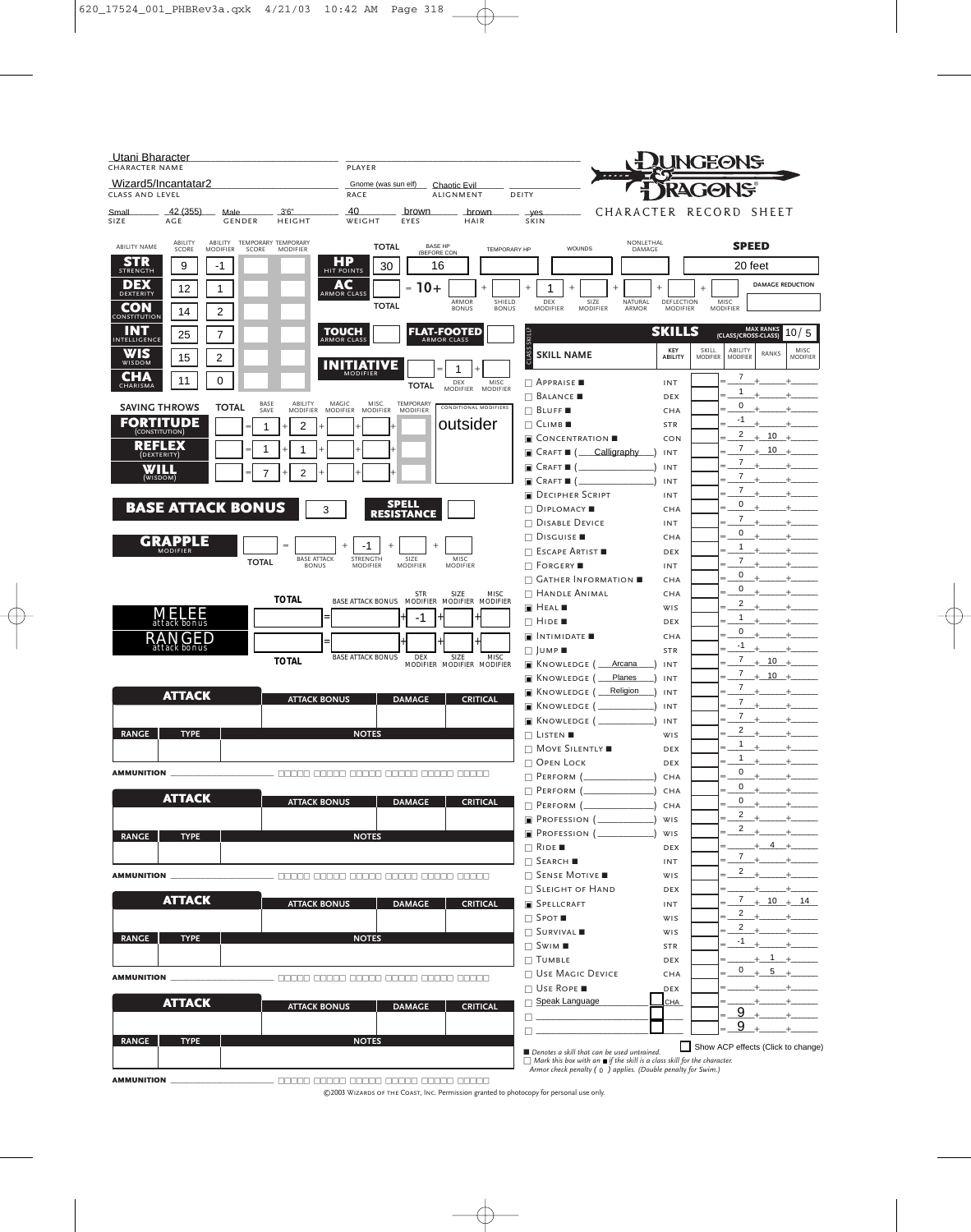| Utani Bharacter<br>CHARACTER NAME |                                   |                                                         |                                    | PLAYER                                                    |                                     |                                                                     |                        |                                                                                                                                                                                                            |                     |                        | NGEONS          |                                  |                                                                                                                                                                                                                                                                                                                                                                                                                                                                                                                                                                                                                     |                                   |  |  |  |
|-----------------------------------|-----------------------------------|---------------------------------------------------------|------------------------------------|-----------------------------------------------------------|-------------------------------------|---------------------------------------------------------------------|------------------------|------------------------------------------------------------------------------------------------------------------------------------------------------------------------------------------------------------|---------------------|------------------------|-----------------|----------------------------------|---------------------------------------------------------------------------------------------------------------------------------------------------------------------------------------------------------------------------------------------------------------------------------------------------------------------------------------------------------------------------------------------------------------------------------------------------------------------------------------------------------------------------------------------------------------------------------------------------------------------|-----------------------------------|--|--|--|
| CLASS AND LEVEL                   | Wizard5/Incantatar2               |                                                         |                                    | RACE                                                      | Gnome (was sun elf) __ Chaotic Evil | <b>ALIGNMENT</b>                                                    | DEITY                  | <b>JONS</b>                                                                                                                                                                                                |                     |                        |                 |                                  |                                                                                                                                                                                                                                                                                                                                                                                                                                                                                                                                                                                                                     |                                   |  |  |  |
| Small<br>SIZE                     | 42 (355)<br>AGE                   | Male<br><b>GENDER</b>                                   | 3'6''<br><b>HEIGHT</b>             | 40<br>WEIGHT                                              | <u>brown</u><br>EYES                | <b>brown</b><br>HAIR                                                |                        | yes<br>SKIN                                                                                                                                                                                                | CHARACTER RECORD    |                        |                 |                                  | SHEET                                                                                                                                                                                                                                                                                                                                                                                                                                                                                                                                                                                                               |                                   |  |  |  |
| <b>ABILITY NAME</b>               | ABILITY<br>SCORE                  | ABILITY TEMPORARY TEMPORARY<br><b>MODIFIER</b><br>SCORE | <b>MODIFIER</b>                    | <b>TOTAL</b>                                              |                                     | <b>BASE HP</b><br>(BEFORE CON                                       | <b>TEMPORARY HP</b>    | WOUNDS                                                                                                                                                                                                     | NONLETHAL<br>DAMAGE |                        |                 | <b>SPEED</b>                     |                                                                                                                                                                                                                                                                                                                                                                                                                                                                                                                                                                                                                     |                                   |  |  |  |
| STR<br><b>STRENGTH</b>            | 9                                 | -1                                                      |                                    | HP<br>HIT POINTS<br>30                                    |                                     | 16                                                                  |                        |                                                                                                                                                                                                            |                     |                        |                 | 20 feet                          |                                                                                                                                                                                                                                                                                                                                                                                                                                                                                                                                                                                                                     |                                   |  |  |  |
| DEX<br>DEXTERITY                  | 12                                | 1                                                       |                                    | AC<br><b>ARMOR CLASS</b>                                  | $10+$<br>$=$                        |                                                                     |                        | 1                                                                                                                                                                                                          |                     |                        |                 |                                  |                                                                                                                                                                                                                                                                                                                                                                                                                                                                                                                                                                                                                     | <b>DAMAGE REDUCTION</b>           |  |  |  |
| CON                               | 14                                | 2                                                       |                                    | <b>TOTAL</b>                                              |                                     | ARMOR<br><b>BONUS</b>                                               | SHIELD<br><b>BONUS</b> | DEX<br>SIZE<br><b>MODIFIER</b><br><b>MODIFIER</b>                                                                                                                                                          | NATURAL<br>ARMOR    | DEFLECTION<br>MODIFIER |                 | MISC<br><b>MODIFIER</b>          |                                                                                                                                                                                                                                                                                                                                                                                                                                                                                                                                                                                                                     |                                   |  |  |  |
| CONSTITUTION<br>INT               |                                   | 7                                                       |                                    | TOUCH                                                     |                                     | <b>FLAT-FOOTED</b>                                                  |                        |                                                                                                                                                                                                            |                     | <b>SKILLS</b>          |                 |                                  | <b>MAX RANKS</b>                                                                                                                                                                                                                                                                                                                                                                                                                                                                                                                                                                                                    | 10/5                              |  |  |  |
| INTELLIGENCE<br>WIS               | 25                                |                                                         |                                    | <b>ARMOR CLASS</b>                                        |                                     | <b>ARMOR CLASS</b>                                                  | SKILL?                 |                                                                                                                                                                                                            |                     | KEY                    | SKILL           | (CLASS/CROSS-CLASS)<br>ABILITY   | RANKS                                                                                                                                                                                                                                                                                                                                                                                                                                                                                                                                                                                                               | MISC                              |  |  |  |
| WISDOM                            | 15                                | 2                                                       |                                    | <b>INITIATIVE</b><br><b>MODIFIER</b>                      |                                     |                                                                     | ō.                     | <b>SKILL NAME</b>                                                                                                                                                                                          |                     | ABILITY                | <b>MODIFIER</b> | <b>MODIFIER</b>                  |                                                                                                                                                                                                                                                                                                                                                                                                                                                                                                                                                                                                                     | <b>MODIFIER</b>                   |  |  |  |
| CHA<br>CHARISMA                   | 11                                | 0                                                       |                                    |                                                           | <b>TOTAL</b>                        | DEX<br>MISC<br>MODIFIER MODIFIER                                    |                        | $\Box$ Appraise                                                                                                                                                                                            |                     | INT                    |                 | 7<br>1                           |                                                                                                                                                                                                                                                                                                                                                                                                                                                                                                                                                                                                                     |                                   |  |  |  |
|                                   | <b>SAVING THROWS</b>              | BASE<br><b>TOTAL</b><br>SAVE                            | ABILITY<br><b>MODIFIER</b>         | MAGIC<br>MISC.<br><b>MODIFIER</b><br><b>MODIFIER</b>      | TEMPORARY<br><b>MODIFIER</b>        | <b>CONDITIONAL MODIFIERS</b>                                        |                        | $\Box$ Balance<br>$\Box$ Bluff                                                                                                                                                                             |                     | DEX<br>CHA             |                 | 0<br>=                           |                                                                                                                                                                                                                                                                                                                                                                                                                                                                                                                                                                                                                     |                                   |  |  |  |
|                                   | <b>FORTITUDE</b>                  | 1                                                       | 2                                  |                                                           |                                     | outsider                                                            |                        | $\Box$ Climber                                                                                                                                                                                             |                     | <b>STR</b>             |                 | -1                               |                                                                                                                                                                                                                                                                                                                                                                                                                                                                                                                                                                                                                     |                                   |  |  |  |
|                                   | (CONSTITUTION)<br><b>REFLEX</b>   |                                                         |                                    |                                                           |                                     |                                                                     |                        | <b>E</b> CONCENTRATION                                                                                                                                                                                     |                     | <b>CON</b>             |                 | 2<br>7                           | 10                                                                                                                                                                                                                                                                                                                                                                                                                                                                                                                                                                                                                  |                                   |  |  |  |
|                                   | (DEXTERITY)                       | 1                                                       | 1                                  |                                                           |                                     |                                                                     |                        | Calligraphy<br>$\blacksquare$ Craft $\blacksquare$ (                                                                                                                                                       |                     | INT                    |                 | $\overline{7}$                   | 10                                                                                                                                                                                                                                                                                                                                                                                                                                                                                                                                                                                                                  |                                   |  |  |  |
|                                   | WILL<br>(WISDOM)                  | 7                                                       | 2                                  |                                                           |                                     |                                                                     |                        | $\blacksquare$ $C$ raft $\blacksquare$ (<br>$\blacksquare$ Craft $\blacksquare$ (                                                                                                                          |                     | INT<br>INT             |                 | 7                                |                                                                                                                                                                                                                                                                                                                                                                                                                                                                                                                                                                                                                     |                                   |  |  |  |
|                                   |                                   |                                                         |                                    |                                                           |                                     |                                                                     |                        | DECIPHER SCRIPT                                                                                                                                                                                            |                     | INT                    |                 | 7                                |                                                                                                                                                                                                                                                                                                                                                                                                                                                                                                                                                                                                                     |                                   |  |  |  |
|                                   |                                   | <b>BASE ATTACK BONUS</b>                                | 3                                  |                                                           | <b>SPELL</b><br><b>RESISTANCE</b>   |                                                                     |                        | $\Box$ DIPLOMACY                                                                                                                                                                                           |                     | CHA                    |                 | 0<br>=<br>7                      |                                                                                                                                                                                                                                                                                                                                                                                                                                                                                                                                                                                                                     |                                   |  |  |  |
|                                   |                                   |                                                         |                                    |                                                           |                                     |                                                                     |                        | $\Box$ Disable Device<br>$\Box$ Disguise                                                                                                                                                                   |                     | INT<br>CHA             |                 | $\mathbf 0$                      |                                                                                                                                                                                                                                                                                                                                                                                                                                                                                                                                                                                                                     |                                   |  |  |  |
|                                   | GRAPPLE<br><b>MODIFIER</b>        |                                                         |                                    | -1                                                        | 1()                                 |                                                                     |                        | $\Box$ Escape Artist                                                                                                                                                                                       |                     | <b>DEX</b>             |                 | 1<br>=                           |                                                                                                                                                                                                                                                                                                                                                                                                                                                                                                                                                                                                                     |                                   |  |  |  |
|                                   |                                   | <b>TOTAL</b>                                            | <b>BASE ATTACK</b><br><b>BONUS</b> | STRENGTH<br>MODIFIER                                      | SIZE<br><b>MODIFIER</b>             | MISC<br><b>MODIFIER</b>                                             |                        | $\Box$ Forgery                                                                                                                                                                                             |                     | INT                    |                 | 7<br>0                           |                                                                                                                                                                                                                                                                                                                                                                                                                                                                                                                                                                                                                     |                                   |  |  |  |
|                                   |                                   |                                                         |                                    |                                                           |                                     |                                                                     |                        | $\Box$ Gather Information $\blacksquare$                                                                                                                                                                   |                     | CHA                    |                 | 0                                |                                                                                                                                                                                                                                                                                                                                                                                                                                                                                                                                                                                                                     |                                   |  |  |  |
|                                   |                                   |                                                         | <b>TOTAL</b>                       |                                                           | <b>STR</b>                          | SIZE<br><b>MISC</b><br>BASE ATTACK BONUS MODIFIER MODIFIER MODIFIER |                        | $\Box$ Handle Animal<br>$\blacksquare$ HEAL                                                                                                                                                                |                     | CHA<br><b>WIS</b>      |                 | $\overline{2}$<br>-              |                                                                                                                                                                                                                                                                                                                                                                                                                                                                                                                                                                                                                     |                                   |  |  |  |
|                                   | 133<br>attack bonus               |                                                         |                                    |                                                           | -1                                  |                                                                     |                        | $\Box$ Hide $\blacksquare$                                                                                                                                                                                 |                     | <b>DEX</b>             |                 | 1<br>-                           |                                                                                                                                                                                                                                                                                                                                                                                                                                                                                                                                                                                                                     |                                   |  |  |  |
|                                   | RА<br><b>NGED</b><br>attack bonus |                                                         |                                    |                                                           |                                     |                                                                     |                        | $\blacksquare$ INTIMIDATE $\blacksquare$                                                                                                                                                                   |                     | CHA                    |                 | 0<br>$-1$                        |                                                                                                                                                                                                                                                                                                                                                                                                                                                                                                                                                                                                                     |                                   |  |  |  |
|                                   |                                   |                                                         | <b>TOTAL</b>                       | <b>BASE ATTACK BONUS</b>                                  | <b>DEX</b>                          | SIZE<br><b>MISC</b><br>MODIFIER MODIFIER MODIFIER                   |                        | $\Box$ JUMP<br>$\blacksquare$ Knowledge (                                                                                                                                                                  | Arcana              | <b>STR</b><br>INT      |                 | 7                                | 10                                                                                                                                                                                                                                                                                                                                                                                                                                                                                                                                                                                                                  |                                   |  |  |  |
|                                   |                                   |                                                         |                                    |                                                           |                                     |                                                                     |                        | <b>E</b> KNOWLEDGE (                                                                                                                                                                                       | Planes              | INT                    |                 | 7                                | 10                                                                                                                                                                                                                                                                                                                                                                                                                                                                                                                                                                                                                  |                                   |  |  |  |
|                                   | <b>ATTACK</b>                     |                                                         | <b>ATTACK BONUS</b>                |                                                           | <b>DAMAGE</b>                       | <b>CRITICAL</b>                                                     |                        | <b>R</b> KNOWLEDGE (                                                                                                                                                                                       | Religion            | INT                    |                 | 7<br>=<br>$\overline{7}$         |                                                                                                                                                                                                                                                                                                                                                                                                                                                                                                                                                                                                                     |                                   |  |  |  |
|                                   |                                   |                                                         |                                    |                                                           |                                     |                                                                     |                        | $\blacksquare$ Knowledge (<br><b>E</b> KNOWLEDGE (                                                                                                                                                         |                     | INT                    |                 | 7                                |                                                                                                                                                                                                                                                                                                                                                                                                                                                                                                                                                                                                                     |                                   |  |  |  |
| <b>RANGE</b>                      | <b>TYPE</b>                       |                                                         |                                    | <b>NOTES</b>                                              |                                     |                                                                     |                        | $\Box$ Listen                                                                                                                                                                                              |                     | INT<br>WIS             |                 | 2                                |                                                                                                                                                                                                                                                                                                                                                                                                                                                                                                                                                                                                                     |                                   |  |  |  |
|                                   |                                   |                                                         |                                    |                                                           |                                     |                                                                     |                        | $\Box$ Move Silently                                                                                                                                                                                       |                     | DEX                    |                 | 1                                |                                                                                                                                                                                                                                                                                                                                                                                                                                                                                                                                                                                                                     |                                   |  |  |  |
| <b>AMMUNITION</b>                 |                                   |                                                         |                                    |                                                           |                                     |                                                                     |                        | $\Box$ Open Lock                                                                                                                                                                                           |                     | DEX                    |                 | 1                                | $0 + \underline{\hspace{1cm}} + \underline{\hspace{1cm}} + \underline{\hspace{1cm}} + \underline{\hspace{1cm}} + \underline{\hspace{1cm}} + \underline{\hspace{1cm}} + \underline{\hspace{1cm}} + \underline{\hspace{1cm}} + \underline{\hspace{1cm}} + \underline{\hspace{1cm}} + \underline{\hspace{1cm}} + \underline{\hspace{1cm}} + \underline{\hspace{1cm}} + \underline{\hspace{1cm}} + \underline{\hspace{1cm}} + \underline{\hspace{1cm}} + \underline{\hspace{1cm}} + \underline{\hspace{1cm}} + \underline{\hspace{1cm}} + \underline{\hspace{1cm}} + \underline{\hspace{1cm}} + \underline{\hspace{1cm$ |                                   |  |  |  |
|                                   |                                   |                                                         |                                    |                                                           |                                     |                                                                     |                        | $\Box$ PERFORM ( $\Box$ )                                                                                                                                                                                  |                     | CHA<br>CHA             |                 | $=$<br>$=$                       | $0 +$                                                                                                                                                                                                                                                                                                                                                                                                                                                                                                                                                                                                               | $+$                               |  |  |  |
|                                   | <b>ATTACK</b>                     |                                                         | <b>ATTACK BONUS</b>                |                                                           | <b>DAMAGE</b>                       | <b>CRITICAL</b>                                                     |                        | $\Box$ PERFORM $(\_$                                                                                                                                                                                       |                     | CHA                    |                 | $=$                              | $0 +$                                                                                                                                                                                                                                                                                                                                                                                                                                                                                                                                                                                                               | $+$                               |  |  |  |
|                                   |                                   |                                                         |                                    |                                                           |                                     |                                                                     |                        |                                                                                                                                                                                                            |                     | WIS                    |                 | $\overline{2}$<br>$=$<br>$2_{+}$ | $+ - - + -$                                                                                                                                                                                                                                                                                                                                                                                                                                                                                                                                                                                                         |                                   |  |  |  |
| <b>RANGE</b>                      | <b>TYPE</b>                       |                                                         |                                    | <b>NOTES</b>                                              |                                     |                                                                     |                        | $\Box$ RIDE                                                                                                                                                                                                |                     | WIS<br>DEX             |                 | $=$                              | $4 +$                                                                                                                                                                                                                                                                                                                                                                                                                                                                                                                                                                                                               |                                   |  |  |  |
|                                   |                                   |                                                         |                                    |                                                           |                                     |                                                                     |                        | $\Box$ SEARCH                                                                                                                                                                                              |                     | <b>INT</b>             |                 |                                  | $7 +$ $+$                                                                                                                                                                                                                                                                                                                                                                                                                                                                                                                                                                                                           |                                   |  |  |  |
| <b>AMMUNITION</b>                 |                                   |                                                         |                                    | _____________________ 00000 00000 00000 00000 00000 00000 |                                     |                                                                     |                        | $\Box$ Sense Motive                                                                                                                                                                                        |                     | WIS                    |                 | $\overline{2}$                   |                                                                                                                                                                                                                                                                                                                                                                                                                                                                                                                                                                                                                     |                                   |  |  |  |
|                                   | <b>ATTACK</b>                     |                                                         |                                    |                                                           |                                     |                                                                     |                        | <b>GEIGHT OF HAND</b>                                                                                                                                                                                      |                     | DEX                    |                 |                                  | $+$ $+$                                                                                                                                                                                                                                                                                                                                                                                                                                                                                                                                                                                                             | $7 + 10 + 14$                     |  |  |  |
|                                   |                                   |                                                         | <b>ATTACK BONUS</b>                |                                                           | <b>DAMAGE</b>                       | <b>CRITICAL</b>                                                     |                        | <b>SPELLCRAFT</b><br>$\Box$ Spot $\blacksquare$                                                                                                                                                            |                     | <b>INT</b><br>WIS      |                 |                                  | $2 + \underbrace{\qquad \qquad }$                                                                                                                                                                                                                                                                                                                                                                                                                                                                                                                                                                                   |                                   |  |  |  |
|                                   |                                   |                                                         |                                    |                                                           |                                     |                                                                     |                        | $\Box$ SURVIVAL                                                                                                                                                                                            |                     | WIS                    |                 | $\mathbf{2}$                     |                                                                                                                                                                                                                                                                                                                                                                                                                                                                                                                                                                                                                     |                                   |  |  |  |
| <b>RANGE</b>                      | <b>TYPE</b>                       |                                                         |                                    | <b>NOTES</b>                                              |                                     |                                                                     |                        | $\Box$ Swim $\blacksquare$                                                                                                                                                                                 |                     | <b>STR</b>             |                 | $-1$                             |                                                                                                                                                                                                                                                                                                                                                                                                                                                                                                                                                                                                                     |                                   |  |  |  |
|                                   |                                   |                                                         |                                    |                                                           |                                     |                                                                     |                        | $\Box$ TUMBLE<br><b>NO USE MAGIC DEVICE</b>                                                                                                                                                                |                     | DEX                    |                 | $\mathbf{0}$                     |                                                                                                                                                                                                                                                                                                                                                                                                                                                                                                                                                                                                                     | $+1$ +<br>$+ 5 +$                 |  |  |  |
| <b>AMMUNITION</b>                 |                                   |                                                         |                                    |                                                           |                                     |                                                                     |                        | $\Box$ Use Rope                                                                                                                                                                                            |                     | CHA<br>DEX             |                 |                                  |                                                                                                                                                                                                                                                                                                                                                                                                                                                                                                                                                                                                                     |                                   |  |  |  |
|                                   | <b>ATTACK</b>                     |                                                         | <b>ATTACK BONUS</b>                |                                                           | <b>DAMAGE</b>                       | <b>CRITICAL</b>                                                     |                        | □ Speak Language                                                                                                                                                                                           |                     | <b>CHA</b>             |                 |                                  | $+$ $+$                                                                                                                                                                                                                                                                                                                                                                                                                                                                                                                                                                                                             |                                   |  |  |  |
|                                   |                                   |                                                         |                                    |                                                           |                                     |                                                                     |                        |                                                                                                                                                                                                            |                     |                        |                 | 9<br>$=$<br>9                    |                                                                                                                                                                                                                                                                                                                                                                                                                                                                                                                                                                                                                     |                                   |  |  |  |
| <b>RANGE</b>                      | <b>TYPE</b>                       |                                                         |                                    | <b>NOTES</b>                                              |                                     |                                                                     | п.                     |                                                                                                                                                                                                            |                     |                        |                 |                                  |                                                                                                                                                                                                                                                                                                                                                                                                                                                                                                                                                                                                                     | Show ACP effects (Click to change |  |  |  |
|                                   |                                   |                                                         |                                    |                                                           |                                     |                                                                     |                        | Denotes a skill that can be used untrained.<br>$\Box$ Mark this box with an $\blacksquare$ if the skill is a class skill for the character.<br>Armor check penalty (0) applies. (Double penalty for Swim.) |                     |                        |                 |                                  |                                                                                                                                                                                                                                                                                                                                                                                                                                                                                                                                                                                                                     |                                   |  |  |  |

©2003 Wizards of the Coast, Inc. Permission granted to photocopy for personal use only.

AMMUNITION \_\_\_\_\_\_\_\_\_\_\_\_\_\_\_\_\_\_\_\_\_\_\_\_\_\_\_ □□□□□ □□□□□ □□□□□ □□□□□ □□□□□ □□□□□